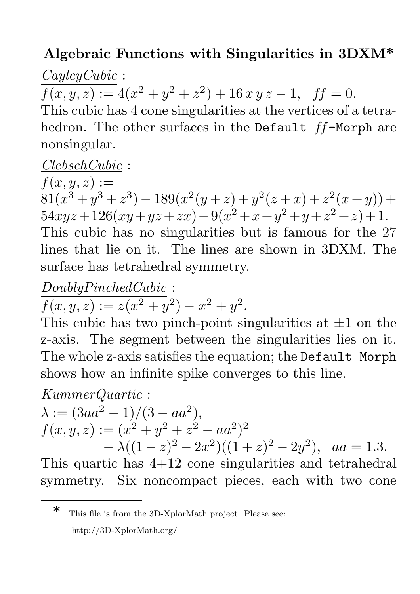# Algebraic Functions with Singularities in 3DXM\*

## *CayleyCubic* :

 $f(x, y, z) := 4(x^{2} + y^{2} + z^{2}) + 16 x y z - 1$ ,  $ff = 0$ .

This cubic has 4 cone singularities at the vertices of a tetrahedron. The other surfaces in the Default ff-Morph are nonsingular.

#### *ClebschCubic* :

 $f(x, y, z) :=$  $81(x^3+y^3+z^3) - 189(x^2(y+z) + y^2(z+x) + z^2(x+y)) +$  $54xyz+126(xy+yz+zx)-9(x^2+x+y^2+y+z^2+z)+1.$ This cubic has no singularities but is famous for the 27 lines that lie on it. The lines are shown in 3DXM. The surface has tetrahedral symmetry.

#### *DoublyPinchedCubic* :

 $f(x, y, z) := z(x^{2} + y^{2}) - x^{2} + y^{2}.$ 

This cubic has two pinch-point singularities at  $\pm 1$  on the z-axis. The segment between the singularities lies on it. The whole z-axis satisfies the equation; the Default Morph shows how an infinite spike converges to this line.

*KummerQuartic* :

$$
\overline{\lambda := (3aa^2 - 1)/(3 - aa^2)},
$$
\n
$$
f(x, y, z) := (x^2 + y^2 + z^2 - aa^2)^2
$$
\n
$$
- \lambda((1 - z)^2 - 2x^2)((1 + z)^2 - 2y^2), \quad aa = 1.3.
$$

This quartic has 4+12 cone singularities and tetrahedral symmetry. Six noncompact pieces, each with two cone

<sup>\*</sup> This file is from the 3D-XplorMath project. Please see: http://3D-XplorMath.org/